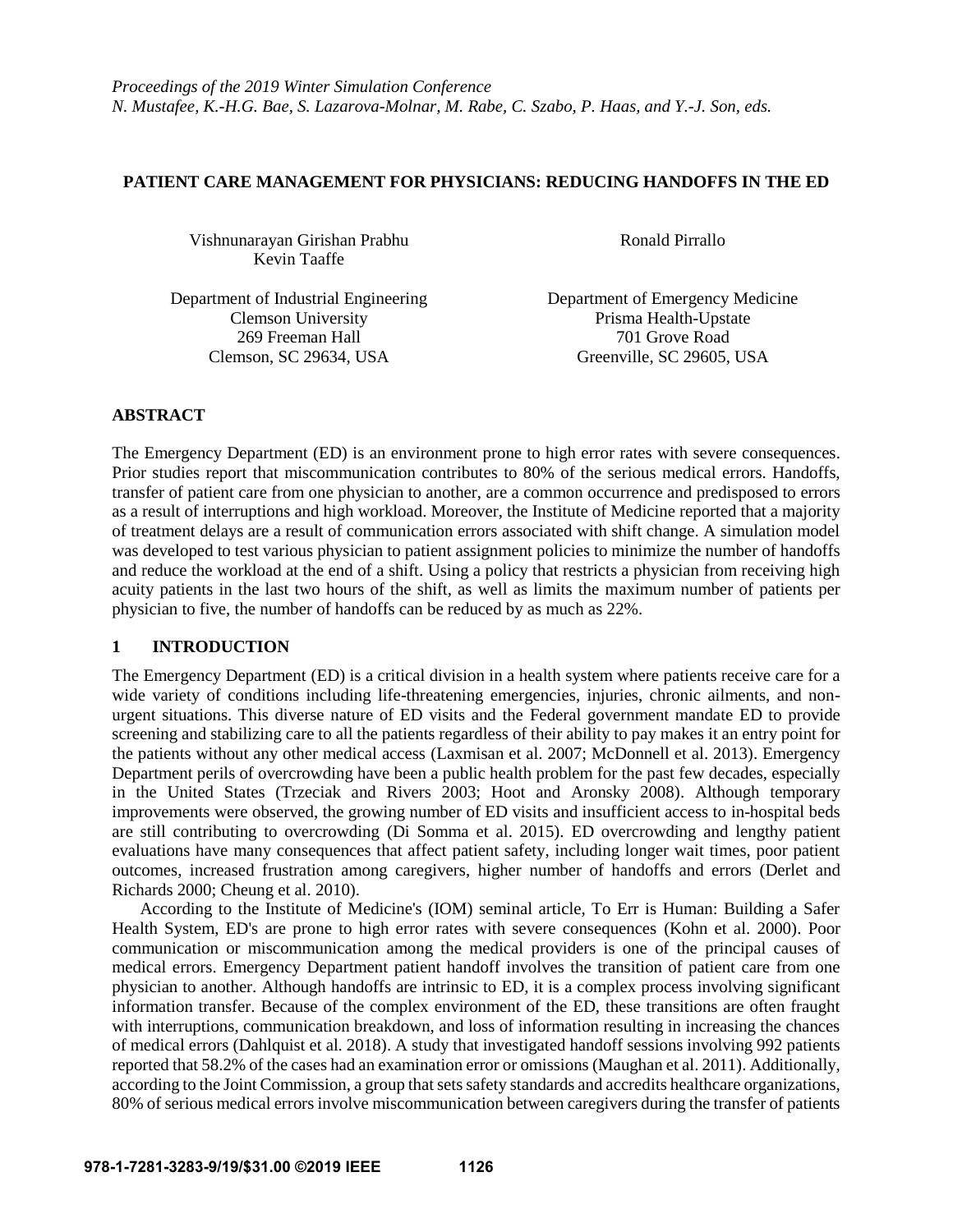### **PATIENT CARE MANAGEMENT FOR PHYSICIANS: REDUCING HANDOFFS IN THE ED**

Vishnunarayan Girishan Prabhu Ronald Pirrallo Kevin Taaffe

Department of Industrial Engineering Department of Emergency Medicine Clemson University Prisma Health-Upstate 269 Freeman Hall 701 Grove Road Clemson, SC 29634, USA Greenville, SC 29605, USA

## **ABSTRACT**

The Emergency Department (ED) is an environment prone to high error rates with severe consequences. Prior studies report that miscommunication contributes to 80% of the serious medical errors. Handoffs, transfer of patient care from one physician to another, are a common occurrence and predisposed to errors as a result of interruptions and high workload. Moreover, the Institute of Medicine reported that a majority of treatment delays are a result of communication errors associated with shift change. A simulation model was developed to test various physician to patient assignment policies to minimize the number of handoffs and reduce the workload at the end of a shift. Using a policy that restricts a physician from receiving high acuity patients in the last two hours of the shift, as well as limits the maximum number of patients per physician to five, the number of handoffs can be reduced by as much as 22%.

## **1 INTRODUCTION**

The Emergency Department (ED) is a critical division in a health system where patients receive care for a wide variety of conditions including life-threatening emergencies, injuries, chronic ailments, and nonurgent situations. This diverse nature of ED visits and the Federal government mandate ED to provide screening and stabilizing care to all the patients regardless of their ability to pay makes it an entry point for the patients without any other medical access (Laxmisan et al. 2007; McDonnell et al. 2013). Emergency Department perils of overcrowding have been a public health problem for the past few decades, especially in the United States (Trzeciak and Rivers 2003; Hoot and Aronsky 2008). Although temporary improvements were observed, the growing number of ED visits and insufficient access to in-hospital beds are still contributing to overcrowding (Di Somma et al. 2015). ED overcrowding and lengthy patient evaluations have many consequences that affect patient safety, including longer wait times, poor patient outcomes, increased frustration among caregivers, higher number of handoffs and errors (Derlet and Richards 2000; Cheung et al. 2010).

According to the Institute of Medicine's (IOM) seminal article, To Err is Human: Building a Safer Health System, ED's are prone to high error rates with severe consequences (Kohn et al. 2000). Poor communication or miscommunication among the medical providers is one of the principal causes of medical errors. Emergency Department patient handoff involves the transition of patient care from one physician to another. Although handoffs are intrinsic to ED, it is a complex process involving significant information transfer. Because of the complex environment of the ED, these transitions are often fraught with interruptions, communication breakdown, and loss of information resulting in increasing the chances of medical errors (Dahlquist et al. 2018). A study that investigated handoff sessions involving 992 patients reported that 58.2% of the cases had an examination error or omissions (Maughan et al. 2011). Additionally, according to the Joint Commission, a group that sets safety standards and accredits healthcare organizations, 80% of serious medical errors involve miscommunication between caregivers during the transfer of patients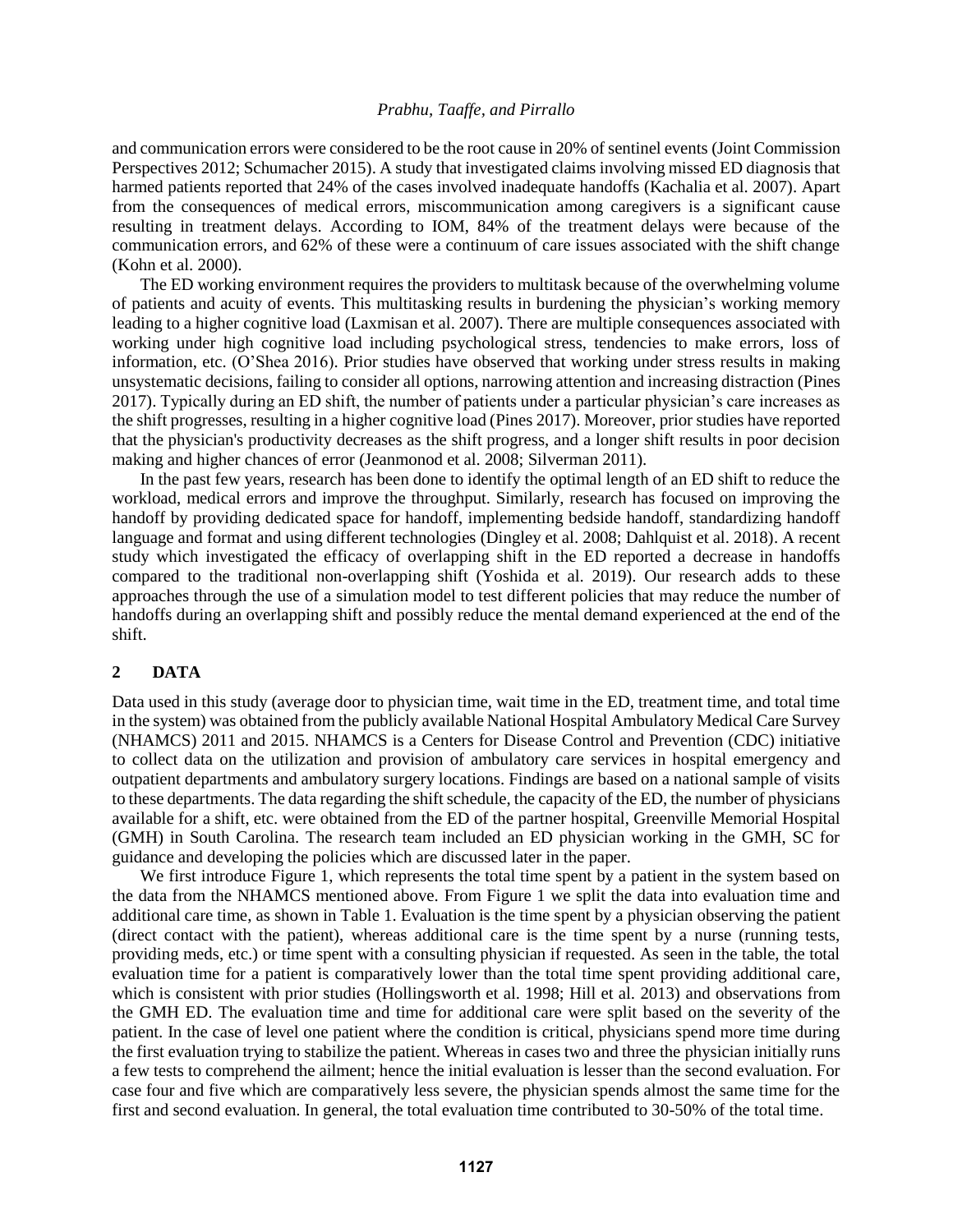and communication errors were considered to be the root cause in 20% of sentinel events (Joint Commission Perspectives 2012; Schumacher 2015). A study that investigated claims involving missed ED diagnosis that harmed patients reported that 24% of the cases involved inadequate handoffs (Kachalia et al. 2007). Apart from the consequences of medical errors, miscommunication among caregivers is a significant cause resulting in treatment delays. According to IOM, 84% of the treatment delays were because of the communication errors, and 62% of these were a continuum of care issues associated with the shift change (Kohn et al. 2000).

The ED working environment requires the providers to multitask because of the overwhelming volume of patients and acuity of events. This multitasking results in burdening the physician's working memory leading to a higher cognitive load (Laxmisan et al. 2007). There are multiple consequences associated with working under high cognitive load including psychological stress, tendencies to make errors, loss of information, etc. (O'Shea 2016). Prior studies have observed that working under stress results in making unsystematic decisions, failing to consider all options, narrowing attention and increasing distraction (Pines 2017). Typically during an ED shift, the number of patients under a particular physician's care increases as the shift progresses, resulting in a higher cognitive load (Pines 2017). Moreover, prior studies have reported that the physician's productivity decreases as the shift progress, and a longer shift results in poor decision making and higher chances of error (Jeanmonod et al. 2008; Silverman 2011).

In the past few years, research has been done to identify the optimal length of an ED shift to reduce the workload, medical errors and improve the throughput. Similarly, research has focused on improving the handoff by providing dedicated space for handoff, implementing bedside handoff, standardizing handoff language and format and using different technologies (Dingley et al. 2008; Dahlquist et al. 2018). A recent study which investigated the efficacy of overlapping shift in the ED reported a decrease in handoffs compared to the traditional non-overlapping shift (Yoshida et al. 2019). Our research adds to these approaches through the use of a simulation model to test different policies that may reduce the number of handoffs during an overlapping shift and possibly reduce the mental demand experienced at the end of the shift.

### **2 DATA**

Data used in this study (average door to physician time, wait time in the ED, treatment time, and total time in the system) was obtained from the publicly available National Hospital Ambulatory Medical Care Survey (NHAMCS) 2011 and 2015. NHAMCS is a Centers for Disease Control and Prevention (CDC) initiative to collect data on the utilization and provision of ambulatory care services in hospital emergency and outpatient departments and ambulatory surgery locations. Findings are based on a national sample of visits to these departments. The data regarding the shift schedule, the capacity of the ED, the number of physicians available for a shift, etc. were obtained from the ED of the partner hospital, Greenville Memorial Hospital (GMH) in South Carolina. The research team included an ED physician working in the GMH, SC for guidance and developing the policies which are discussed later in the paper.

We first introduce Figure 1, which represents the total time spent by a patient in the system based on the data from the NHAMCS mentioned above. From Figure 1 we split the data into evaluation time and additional care time, as shown in Table 1. Evaluation is the time spent by a physician observing the patient (direct contact with the patient), whereas additional care is the time spent by a nurse (running tests, providing meds, etc.) or time spent with a consulting physician if requested. As seen in the table, the total evaluation time for a patient is comparatively lower than the total time spent providing additional care, which is consistent with prior studies (Hollingsworth et al. 1998; Hill et al. 2013) and observations from the GMH ED. The evaluation time and time for additional care were split based on the severity of the patient. In the case of level one patient where the condition is critical, physicians spend more time during the first evaluation trying to stabilize the patient. Whereas in cases two and three the physician initially runs a few tests to comprehend the ailment; hence the initial evaluation is lesser than the second evaluation. For case four and five which are comparatively less severe, the physician spends almost the same time for the first and second evaluation. In general, the total evaluation time contributed to 30-50% of the total time.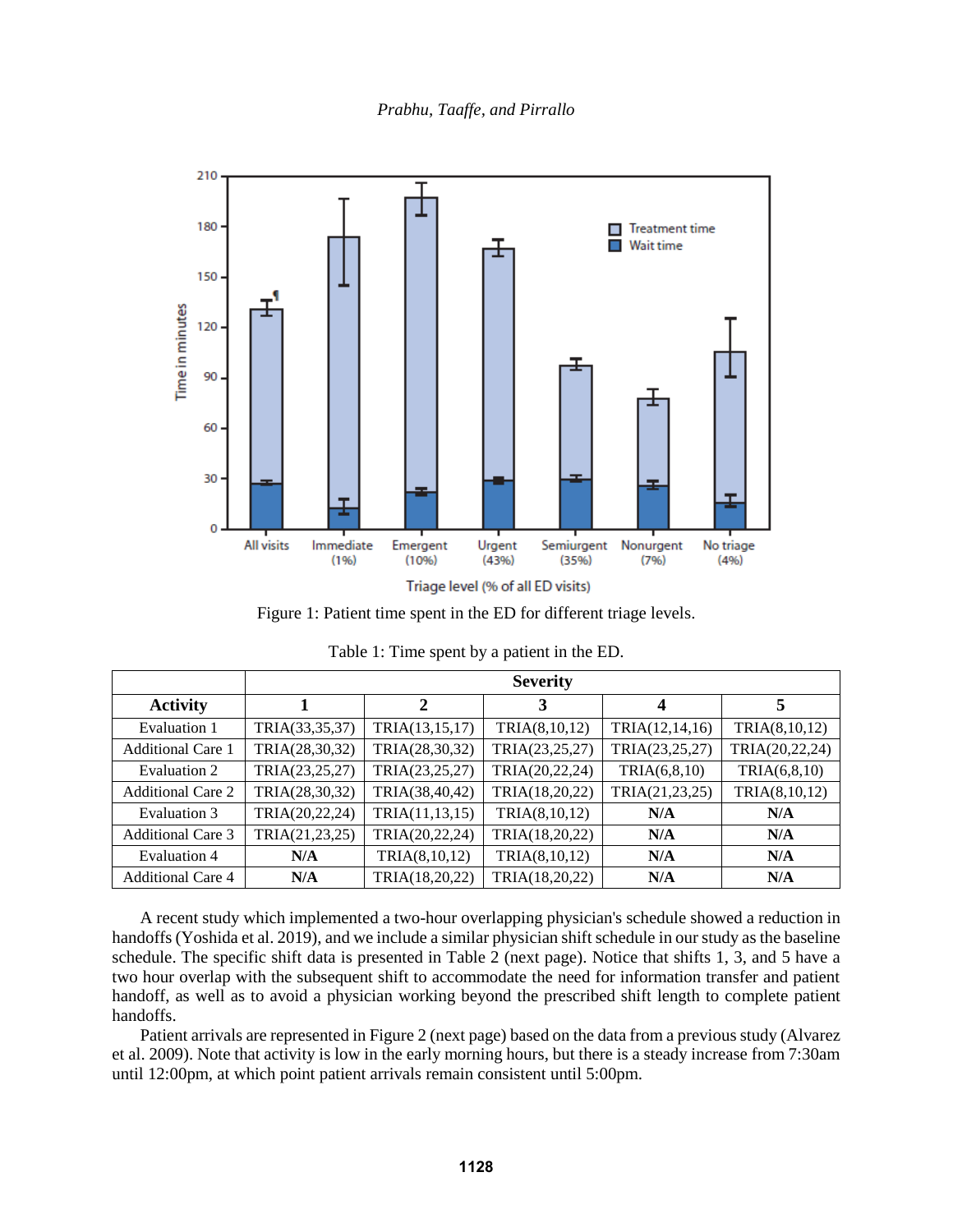

Figure 1: Patient time spent in the ED for different triage levels.

|                          | <b>Severity</b> |                |                |                |                |
|--------------------------|-----------------|----------------|----------------|----------------|----------------|
| <b>Activity</b>          |                 | $\overline{2}$ | 3              | 4              | 5              |
| Evaluation 1             | TRIA(33,35,37)  | TRIA(13,15,17) | TRIA(8,10,12)  | TRIA(12,14,16) | TRIA(8,10,12)  |
| <b>Additional Care 1</b> | TRIA(28,30,32)  | TRIA(28,30,32) | TRIA(23,25,27) | TRIA(23,25,27) | TRIA(20,22,24) |
| Evaluation 2             | TRIA(23,25,27)  | TRIA(23,25,27) | TRIA(20,22,24) | TRIA(6, 8, 10) | TRIA(6, 8, 10) |
| <b>Additional Care 2</b> | TRIA(28,30,32)  | TRIA(38,40,42) | TRIA(18,20,22) | TRIA(21,23,25) | TRIA(8,10,12)  |
| Evaluation 3             | TRIA(20,22,24)  | TRIA(11,13,15) | TRIA(8,10,12)  | N/A            | N/A            |
| <b>Additional Care 3</b> | TRIA(21,23,25)  | TRIA(20,22,24) | TRIA(18,20,22) | N/A            | N/A            |
| <b>Evaluation 4</b>      | N/A             | TRIA(8,10,12)  | TRIA(8,10,12)  | N/A            | N/A            |
| <b>Additional Care 4</b> | N/A             | TRIA(18,20,22) | TRIA(18,20,22) | N/A            | N/A            |

| Table 1: Time spent by a patient in the ED. |  |  |  |
|---------------------------------------------|--|--|--|
|---------------------------------------------|--|--|--|

A recent study which implemented a two-hour overlapping physician's schedule showed a reduction in handoffs (Yoshida et al. 2019), and we include a similar physician shift schedule in our study as the baseline schedule. The specific shift data is presented in Table 2 (next page). Notice that shifts 1, 3, and 5 have a two hour overlap with the subsequent shift to accommodate the need for information transfer and patient handoff, as well as to avoid a physician working beyond the prescribed shift length to complete patient handoffs.

Patient arrivals are represented in Figure 2 (next page) based on the data from a previous study (Alvarez et al. 2009). Note that activity is low in the early morning hours, but there is a steady increase from 7:30am until 12:00pm, at which point patient arrivals remain consistent until 5:00pm.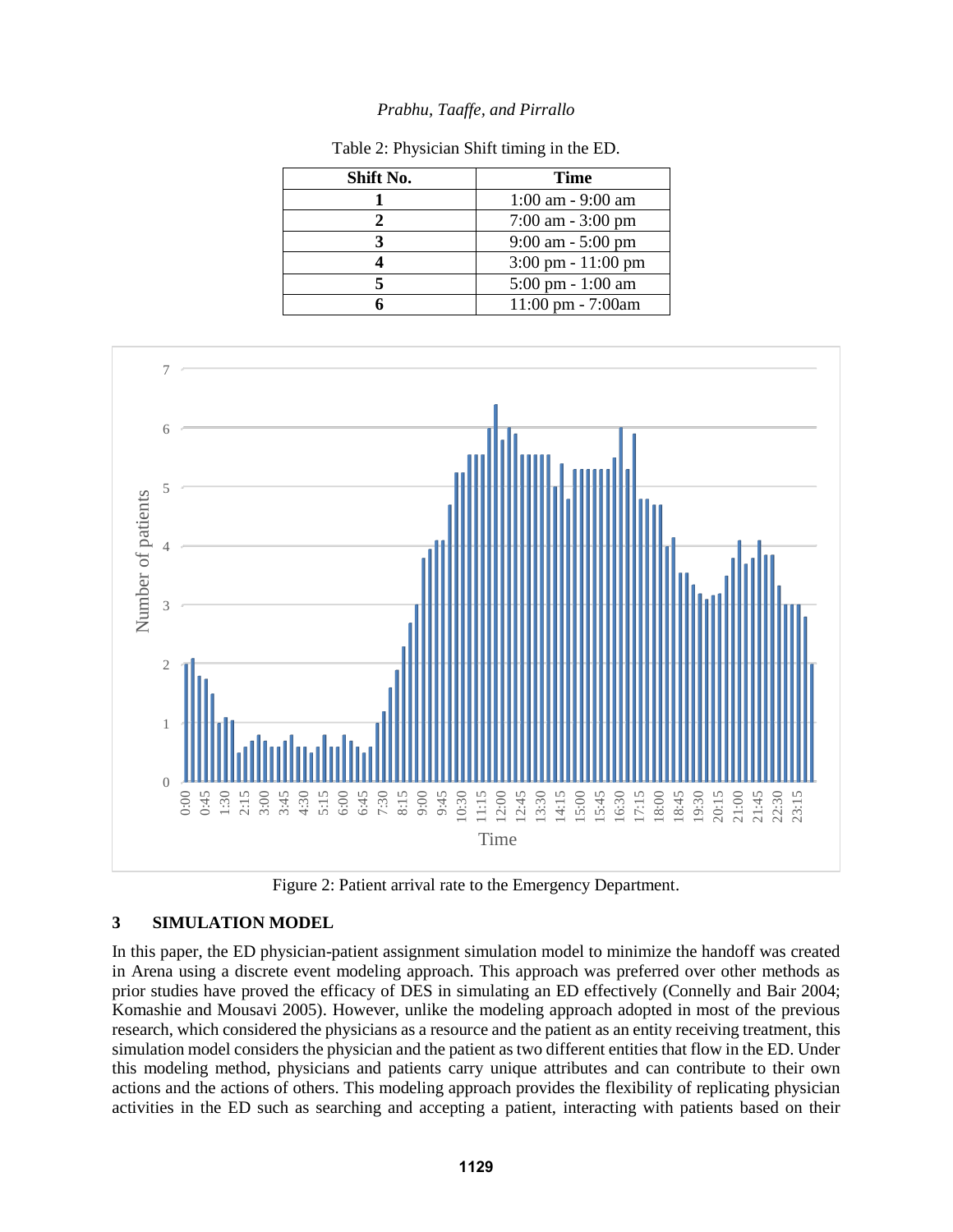| Shift No. | <b>Time</b>                          |
|-----------|--------------------------------------|
|           | $1:00$ am - 9:00 am                  |
|           | $7:00$ am $-3:00$ pm                 |
|           | $9:00$ am $-5:00$ pm                 |
|           | $3:00 \text{ pm} - 11:00 \text{ pm}$ |
|           | $5:00 \text{ pm} - 1:00 \text{ am}$  |
|           | $11:00 \text{ pm} - 7:00 \text{am}$  |

Table 2: Physician Shift timing in the ED.



Figure 2: Patient arrival rate to the Emergency Department.

## **3 SIMULATION MODEL**

In this paper, the ED physician-patient assignment simulation model to minimize the handoff was created in Arena using a discrete event modeling approach. This approach was preferred over other methods as prior studies have proved the efficacy of DES in simulating an ED effectively (Connelly and Bair 2004; Komashie and Mousavi 2005). However, unlike the modeling approach adopted in most of the previous research, which considered the physicians as a resource and the patient as an entity receiving treatment, this simulation model considers the physician and the patient as two different entities that flow in the ED. Under this modeling method, physicians and patients carry unique attributes and can contribute to their own actions and the actions of others. This modeling approach provides the flexibility of replicating physician activities in the ED such as searching and accepting a patient, interacting with patients based on their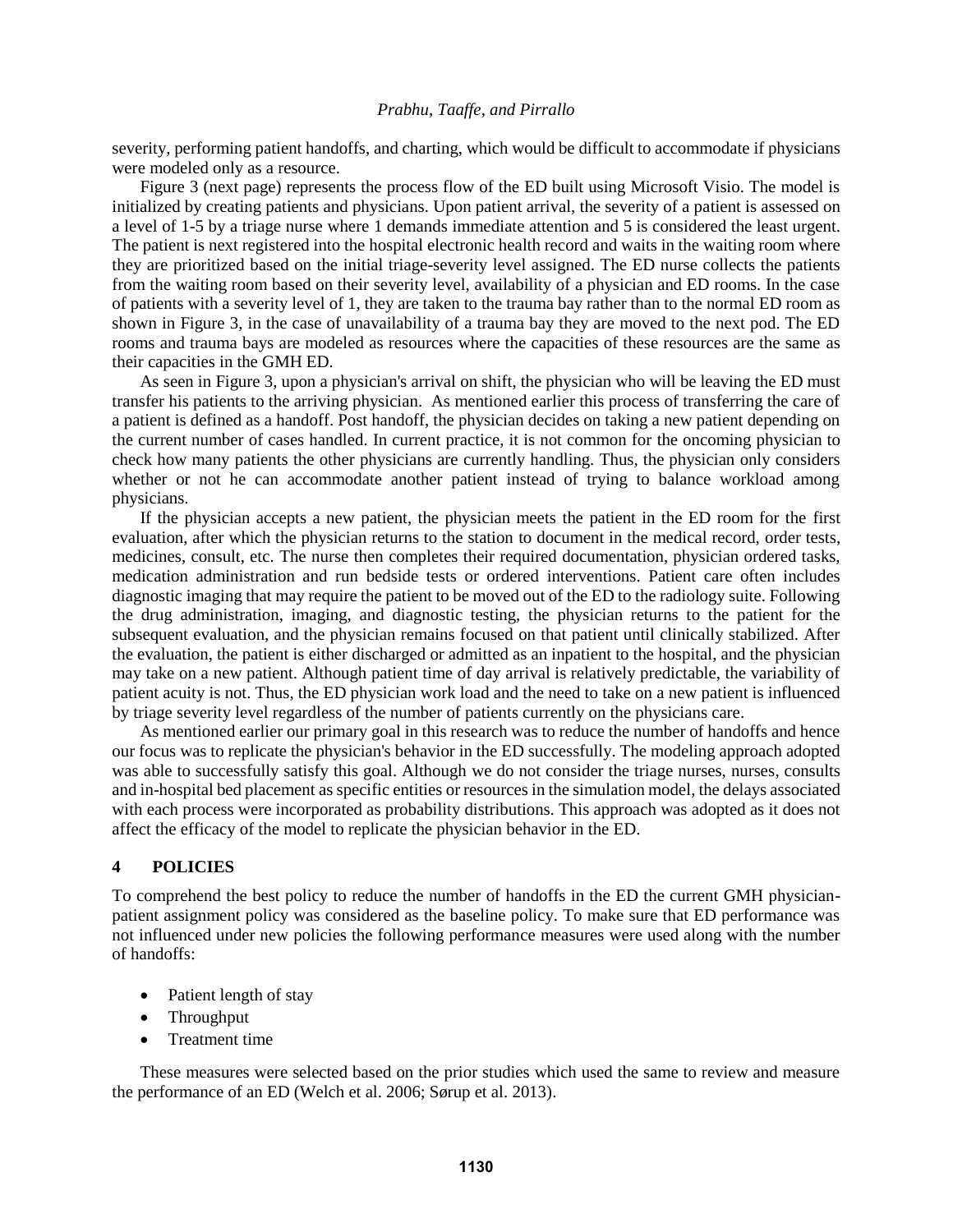severity, performing patient handoffs, and charting, which would be difficult to accommodate if physicians were modeled only as a resource.

Figure 3 (next page) represents the process flow of the ED built using Microsoft Visio. The model is initialized by creating patients and physicians. Upon patient arrival, the severity of a patient is assessed on a level of 1-5 by a triage nurse where 1 demands immediate attention and 5 is considered the least urgent. The patient is next registered into the hospital electronic health record and waits in the waiting room where they are prioritized based on the initial triage-severity level assigned. The ED nurse collects the patients from the waiting room based on their severity level, availability of a physician and ED rooms. In the case of patients with a severity level of 1, they are taken to the trauma bay rather than to the normal ED room as shown in Figure 3, in the case of unavailability of a trauma bay they are moved to the next pod. The ED rooms and trauma bays are modeled as resources where the capacities of these resources are the same as their capacities in the GMH ED.

As seen in Figure 3, upon a physician's arrival on shift, the physician who will be leaving the ED must transfer his patients to the arriving physician. As mentioned earlier this process of transferring the care of a patient is defined as a handoff. Post handoff, the physician decides on taking a new patient depending on the current number of cases handled. In current practice, it is not common for the oncoming physician to check how many patients the other physicians are currently handling. Thus, the physician only considers whether or not he can accommodate another patient instead of trying to balance workload among physicians.

If the physician accepts a new patient, the physician meets the patient in the ED room for the first evaluation, after which the physician returns to the station to document in the medical record, order tests, medicines, consult, etc. The nurse then completes their required documentation, physician ordered tasks, medication administration and run bedside tests or ordered interventions. Patient care often includes diagnostic imaging that may require the patient to be moved out of the ED to the radiology suite. Following the drug administration, imaging, and diagnostic testing, the physician returns to the patient for the subsequent evaluation, and the physician remains focused on that patient until clinically stabilized. After the evaluation, the patient is either discharged or admitted as an inpatient to the hospital, and the physician may take on a new patient. Although patient time of day arrival is relatively predictable, the variability of patient acuity is not. Thus, the ED physician work load and the need to take on a new patient is influenced by triage severity level regardless of the number of patients currently on the physicians care.

As mentioned earlier our primary goal in this research was to reduce the number of handoffs and hence our focus was to replicate the physician's behavior in the ED successfully. The modeling approach adopted was able to successfully satisfy this goal. Although we do not consider the triage nurses, nurses, consults and in-hospital bed placement as specific entities or resources in the simulation model, the delays associated with each process were incorporated as probability distributions. This approach was adopted as it does not affect the efficacy of the model to replicate the physician behavior in the ED.

### **4 POLICIES**

To comprehend the best policy to reduce the number of handoffs in the ED the current GMH physicianpatient assignment policy was considered as the baseline policy. To make sure that ED performance was not influenced under new policies the following performance measures were used along with the number of handoffs:

- Patient length of stay
- Throughput
- Treatment time

These measures were selected based on the prior studies which used the same to review and measure the performance of an ED (Welch et al. 2006; Sørup et al. 2013).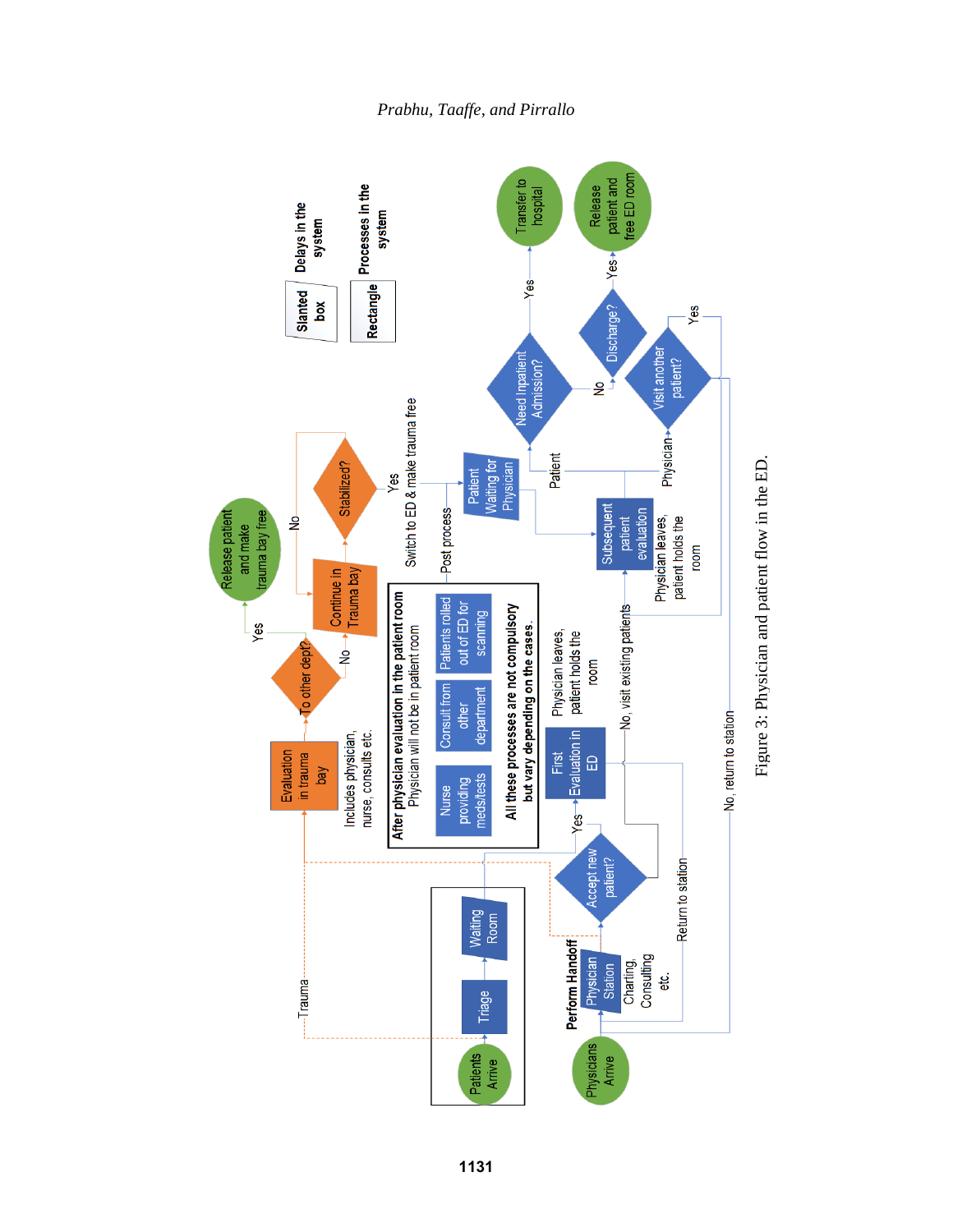



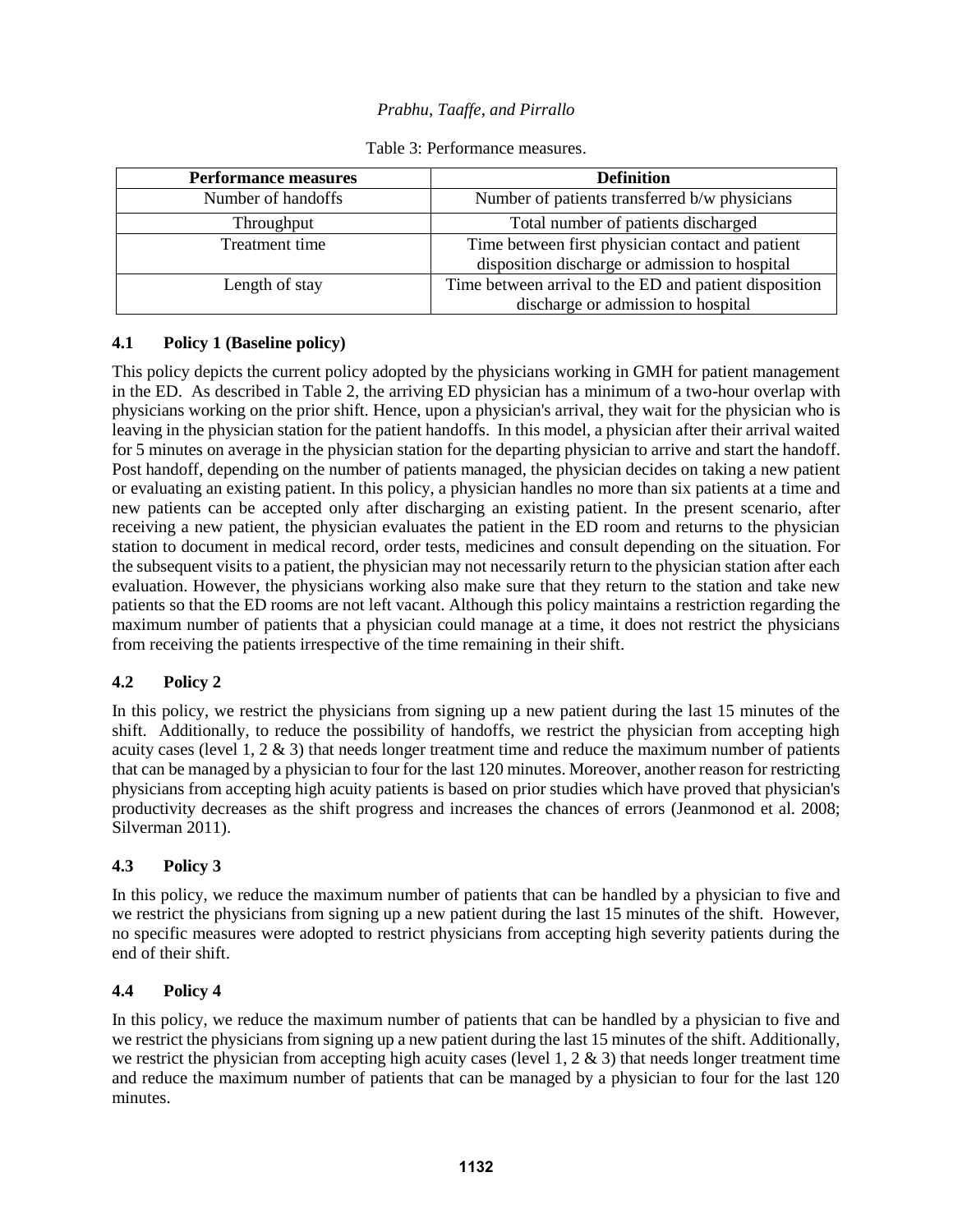| <b>Performance measures</b> | <b>Definition</b>                                                                                  |  |
|-----------------------------|----------------------------------------------------------------------------------------------------|--|
| Number of handoffs          | Number of patients transferred b/w physicians                                                      |  |
| Throughput                  | Total number of patients discharged                                                                |  |
| Treatment time              | Time between first physician contact and patient<br>disposition discharge or admission to hospital |  |
| Length of stay              | Time between arrival to the ED and patient disposition<br>discharge or admission to hospital       |  |

## Table 3: Performance measures.

# **4.1 Policy 1 (Baseline policy)**

This policy depicts the current policy adopted by the physicians working in GMH for patient management in the ED. As described in Table 2, the arriving ED physician has a minimum of a two-hour overlap with physicians working on the prior shift. Hence, upon a physician's arrival, they wait for the physician who is leaving in the physician station for the patient handoffs. In this model, a physician after their arrival waited for 5 minutes on average in the physician station for the departing physician to arrive and start the handoff. Post handoff, depending on the number of patients managed, the physician decides on taking a new patient or evaluating an existing patient. In this policy, a physician handles no more than six patients at a time and new patients can be accepted only after discharging an existing patient. In the present scenario, after receiving a new patient, the physician evaluates the patient in the ED room and returns to the physician station to document in medical record, order tests, medicines and consult depending on the situation. For the subsequent visits to a patient, the physician may not necessarily return to the physician station after each evaluation. However, the physicians working also make sure that they return to the station and take new patients so that the ED rooms are not left vacant. Although this policy maintains a restriction regarding the maximum number of patients that a physician could manage at a time, it does not restrict the physicians from receiving the patients irrespective of the time remaining in their shift.

## **4.2 Policy 2**

In this policy, we restrict the physicians from signing up a new patient during the last 15 minutes of the shift. Additionally, to reduce the possibility of handoffs, we restrict the physician from accepting high acuity cases (level 1,  $2 \& 3$ ) that needs longer treatment time and reduce the maximum number of patients that can be managed by a physician to four for the last 120 minutes. Moreover, another reason for restricting physicians from accepting high acuity patients is based on prior studies which have proved that physician's productivity decreases as the shift progress and increases the chances of errors (Jeanmonod et al. 2008; Silverman 2011).

## **4.3 Policy 3**

In this policy, we reduce the maximum number of patients that can be handled by a physician to five and we restrict the physicians from signing up a new patient during the last 15 minutes of the shift. However, no specific measures were adopted to restrict physicians from accepting high severity patients during the end of their shift.

## **4.4 Policy 4**

In this policy, we reduce the maximum number of patients that can be handled by a physician to five and we restrict the physicians from signing up a new patient during the last 15 minutes of the shift. Additionally, we restrict the physician from accepting high acuity cases (level 1,  $2 \& 3$ ) that needs longer treatment time and reduce the maximum number of patients that can be managed by a physician to four for the last 120 minutes.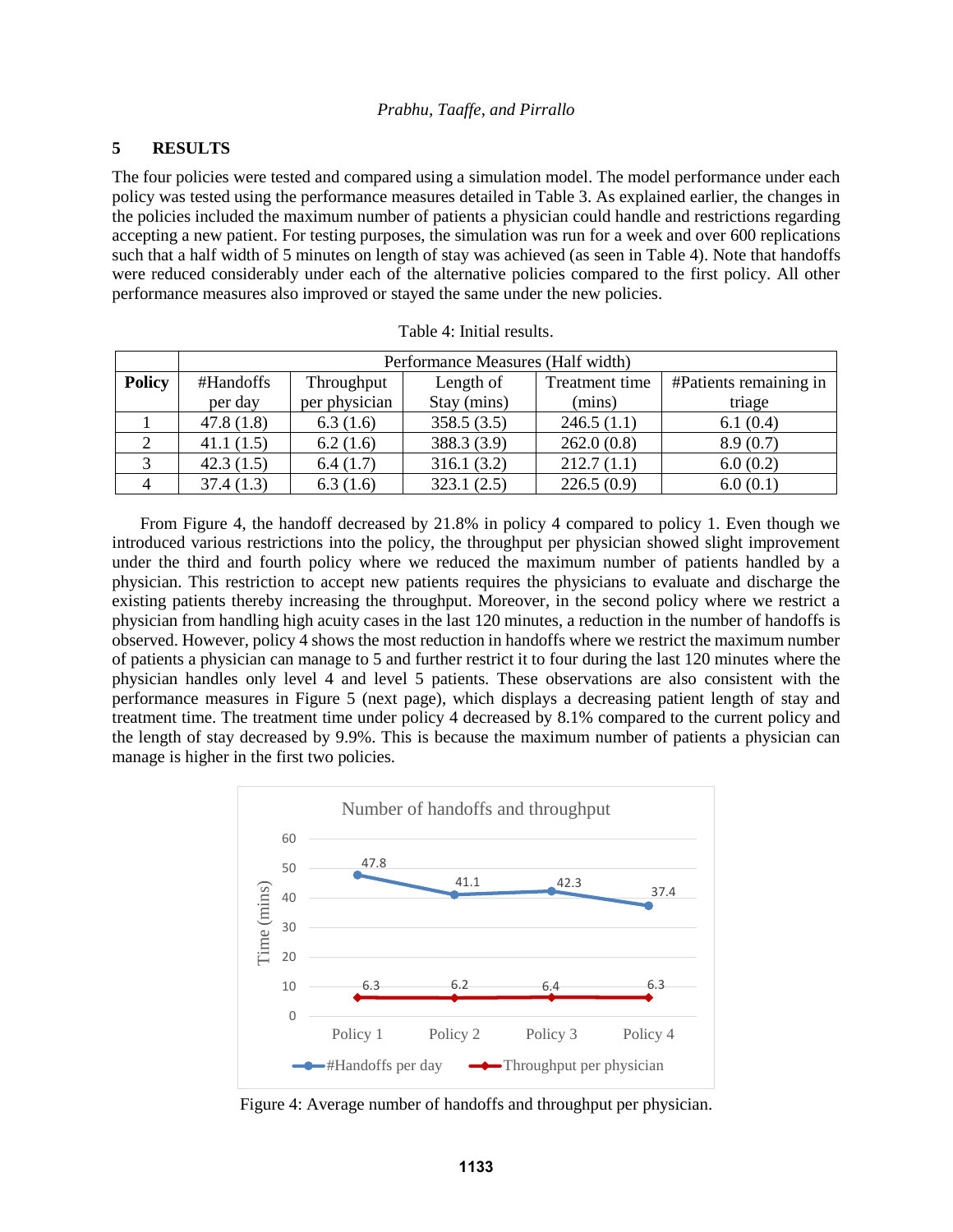## **5 RESULTS**

The four policies were tested and compared using a simulation model. The model performance under each policy was tested using the performance measures detailed in Table 3. As explained earlier, the changes in the policies included the maximum number of patients a physician could handle and restrictions regarding accepting a new patient. For testing purposes, the simulation was run for a week and over 600 replications such that a half width of 5 minutes on length of stay was achieved (as seen in Table 4). Note that handoffs were reduced considerably under each of the alternative policies compared to the first policy. All other performance measures also improved or stayed the same under the new policies.

|               | Performance Measures (Half width) |               |             |                |                        |
|---------------|-----------------------------------|---------------|-------------|----------------|------------------------|
| <b>Policy</b> | #Handoffs                         | Throughput    | Length of   | Treatment time | #Patients remaining in |
|               | per day                           | per physician | Stay (mins) | (mins)         | triage                 |
|               | 47.8(1.8)                         | 6.3(1.6)      | 358.5(3.5)  | 246.5(1.1)     | 6.1(0.4)               |
|               | 41.1(1.5)                         | 6.2(1.6)      | 388.3 (3.9) | 262.0(0.8)     | 8.9(0.7)               |
|               | 42.3(1.5)                         | 6.4(1.7)      | 316.1(3.2)  | 212.7(1.1)     | 6.0(0.2)               |
|               | 37.4(1.3)                         | 6.3(1.6)      | 323.1(2.5)  | 226.5(0.9)     | 6.0(0.1)               |

| Table 4: Initial results. |  |  |
|---------------------------|--|--|
|---------------------------|--|--|

From Figure 4, the handoff decreased by 21.8% in policy 4 compared to policy 1. Even though we introduced various restrictions into the policy, the throughput per physician showed slight improvement under the third and fourth policy where we reduced the maximum number of patients handled by a physician. This restriction to accept new patients requires the physicians to evaluate and discharge the existing patients thereby increasing the throughput. Moreover, in the second policy where we restrict a physician from handling high acuity cases in the last 120 minutes, a reduction in the number of handoffs is observed. However, policy 4 shows the most reduction in handoffs where we restrict the maximum number of patients a physician can manage to 5 and further restrict it to four during the last 120 minutes where the physician handles only level 4 and level 5 patients. These observations are also consistent with the performance measures in Figure 5 (next page), which displays a decreasing patient length of stay and treatment time. The treatment time under policy 4 decreased by 8.1% compared to the current policy and the length of stay decreased by 9.9%. This is because the maximum number of patients a physician can manage is higher in the first two policies.



Figure 4: Average number of handoffs and throughput per physician.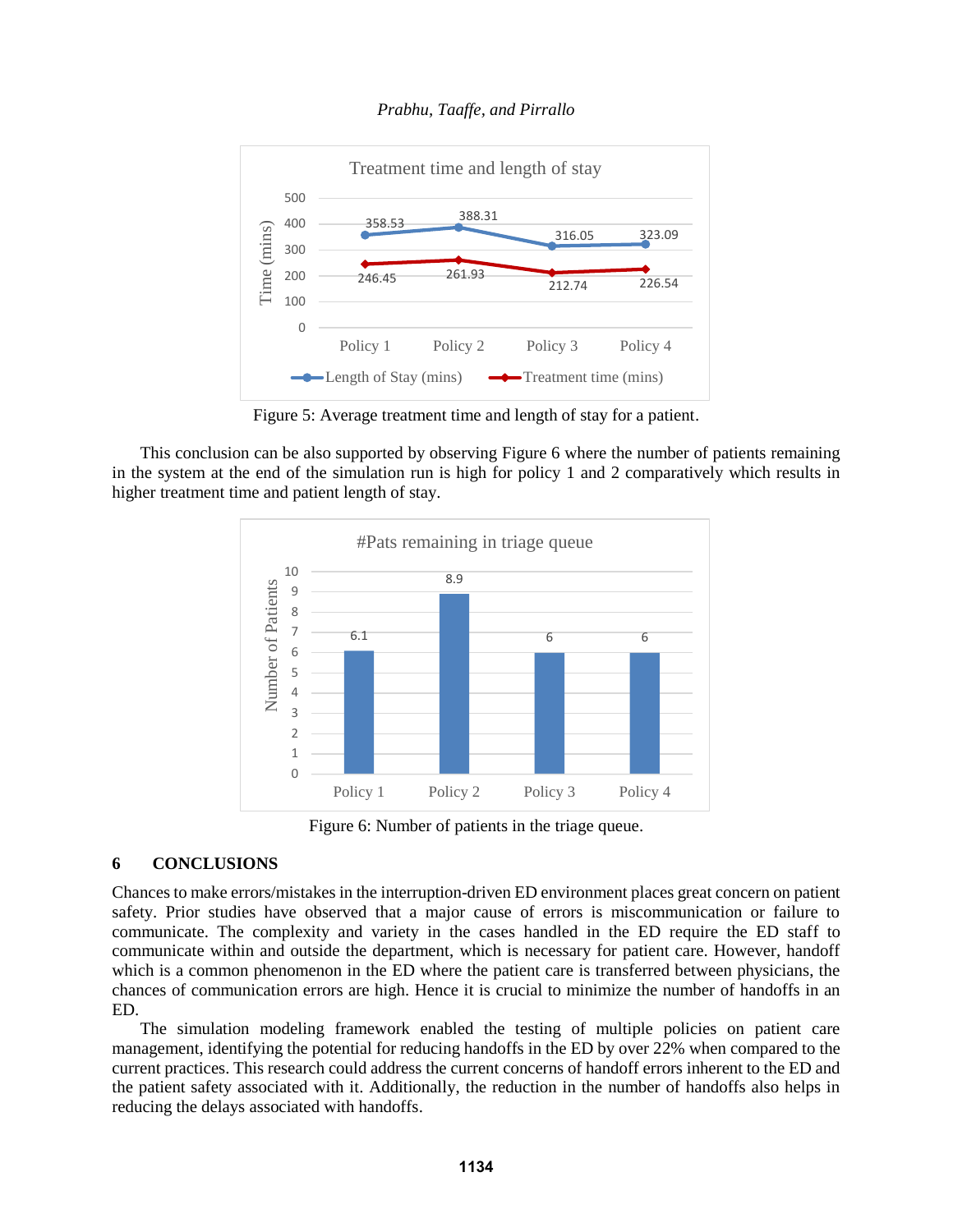



Figure 5: Average treatment time and length of stay for a patient.

This conclusion can be also supported by observing Figure 6 where the number of patients remaining in the system at the end of the simulation run is high for policy 1 and 2 comparatively which results in higher treatment time and patient length of stay.



Figure 6: Number of patients in the triage queue.

## **6 CONCLUSIONS**

Chances to make errors/mistakes in the interruption-driven ED environment places great concern on patient safety. Prior studies have observed that a major cause of errors is miscommunication or failure to communicate. The complexity and variety in the cases handled in the ED require the ED staff to communicate within and outside the department, which is necessary for patient care. However, handoff which is a common phenomenon in the ED where the patient care is transferred between physicians, the chances of communication errors are high. Hence it is crucial to minimize the number of handoffs in an ED.

The simulation modeling framework enabled the testing of multiple policies on patient care management, identifying the potential for reducing handoffs in the ED by over 22% when compared to the current practices. This research could address the current concerns of handoff errors inherent to the ED and the patient safety associated with it. Additionally, the reduction in the number of handoffs also helps in reducing the delays associated with handoffs.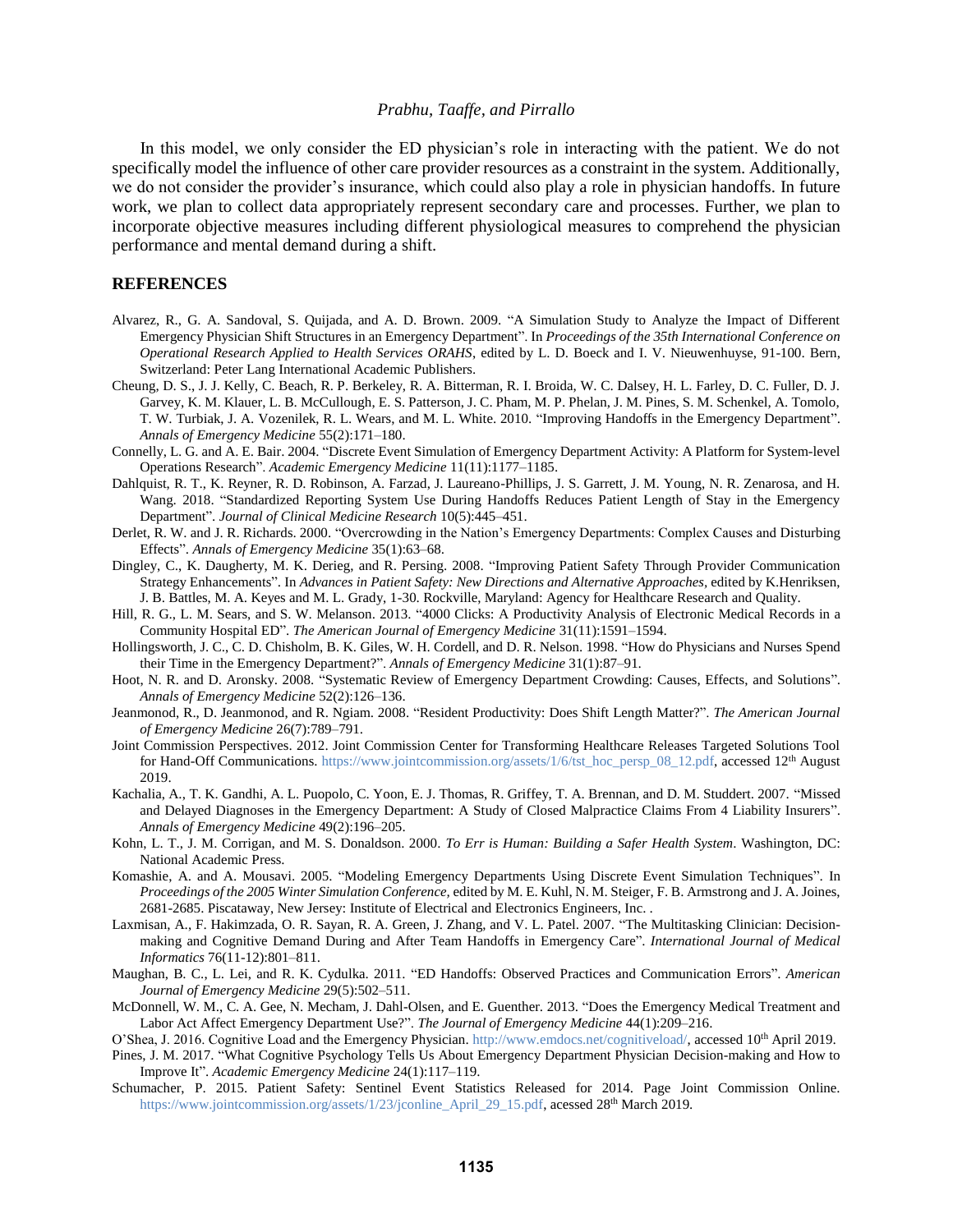In this model, we only consider the ED physician's role in interacting with the patient. We do not specifically model the influence of other care provider resources as a constraint in the system. Additionally, we do not consider the provider's insurance, which could also play a role in physician handoffs. In future work, we plan to collect data appropriately represent secondary care and processes. Further, we plan to incorporate objective measures including different physiological measures to comprehend the physician performance and mental demand during a shift.

### **REFERENCES**

- Alvarez, R., G. A. Sandoval, S. Quijada, and A. D. Brown. 2009. "A Simulation Study to Analyze the Impact of Different Emergency Physician Shift Structures in an Emergency Department". In *Proceedings of the 35th International Conference on Operational Research Applied to Health Services ORAHS*, edited by L. D. Boeck and I. V. Nieuwenhuyse, 91-100. Bern, Switzerland: Peter Lang International Academic Publishers.
- Cheung, D. S., J. J. Kelly, C. Beach, R. P. Berkeley, R. A. Bitterman, R. I. Broida, W. C. Dalsey, H. L. Farley, D. C. Fuller, D. J. Garvey, K. M. Klauer, L. B. McCullough, E. S. Patterson, J. C. Pham, M. P. Phelan, J. M. Pines, S. M. Schenkel, A. Tomolo, T. W. Turbiak, J. A. Vozenilek, R. L. Wears, and M. L. White. 2010. "Improving Handoffs in the Emergency Department". *Annals of Emergency Medicine* 55(2):171–180.
- Connelly, L. G. and A. E. Bair. 2004. "Discrete Event Simulation of Emergency Department Activity: A Platform for System-level Operations Research". *Academic Emergency Medicine* 11(11):1177–1185.
- Dahlquist, R. T., K. Reyner, R. D. Robinson, A. Farzad, J. Laureano-Phillips, J. S. Garrett, J. M. Young, N. R. Zenarosa, and H. Wang. 2018. "Standardized Reporting System Use During Handoffs Reduces Patient Length of Stay in the Emergency Department". *Journal of Clinical Medicine Research* 10(5):445–451.
- Derlet, R. W. and J. R. Richards. 2000. "Overcrowding in the Nation's Emergency Departments: Complex Causes and Disturbing Effects". *Annals of Emergency Medicine* 35(1):63–68.
- Dingley, C., K. Daugherty, M. K. Derieg, and R. Persing. 2008. "Improving Patient Safety Through Provider Communication Strategy Enhancements". In *Advances in Patient Safety: New Directions and Alternative Approaches*, edited by K.Henriksen, J. B. Battles, M. A. Keyes and M. L. Grady, 1-30. Rockville, Maryland: Agency for Healthcare Research and Quality.
- Hill, R. G., L. M. Sears, and S. W. Melanson. 2013. "4000 Clicks: A Productivity Analysis of Electronic Medical Records in a Community Hospital ED". *The American Journal of Emergency Medicine* 31(11):1591–1594.
- Hollingsworth, J. C., C. D. Chisholm, B. K. Giles, W. H. Cordell, and D. R. Nelson. 1998. "How do Physicians and Nurses Spend their Time in the Emergency Department?". *Annals of Emergency Medicine* 31(1):87–91.
- Hoot, N. R. and D. Aronsky. 2008. "Systematic Review of Emergency Department Crowding: Causes, Effects, and Solutions". *Annals of Emergency Medicine* 52(2):126–136.
- Jeanmonod, R., D. Jeanmonod, and R. Ngiam. 2008. "Resident Productivity: Does Shift Length Matter?". *The American Journal of Emergency Medicine* 26(7):789–791.
- Joint Commission Perspectives. 2012. Joint Commission Center for Transforming Healthcare Releases Targeted Solutions Tool for Hand-Off Communications[. https://www.jointcommission.org/assets/1/6/tst\\_hoc\\_persp\\_08\\_12.pdf,](https://www.jointcommission.org/assets/1/6/tst_hoc_persp_08_12.pdf) accessed 12<sup>th</sup> August 2019.
- Kachalia, A., T. K. Gandhi, A. L. Puopolo, C. Yoon, E. J. Thomas, R. Griffey, T. A. Brennan, and D. M. Studdert. 2007. "Missed and Delayed Diagnoses in the Emergency Department: A Study of Closed Malpractice Claims From 4 Liability Insurers". *Annals of Emergency Medicine* 49(2):196–205.
- Kohn, L. T., J. M. Corrigan, and M. S. Donaldson. 2000. *To Err is Human: Building a Safer Health System*. Washington, DC: National Academic Press.
- Komashie, A. and A. Mousavi. 2005. "Modeling Emergency Departments Using Discrete Event Simulation Techniques". In *Proceedings of the 2005 Winter Simulation Conference,* edited by M. E. Kuhl, N. M. Steiger, F. B. Armstrong and J. A. Joines, 2681-2685. Piscataway, New Jersey: Institute of Electrical and Electronics Engineers, Inc. .
- Laxmisan, A., F. Hakimzada, O. R. Sayan, R. A. Green, J. Zhang, and V. L. Patel. 2007. "The Multitasking Clinician: Decisionmaking and Cognitive Demand During and After Team Handoffs in Emergency Care". *International Journal of Medical Informatics* 76(11-12):801–811.
- Maughan, B. C., L. Lei, and R. K. Cydulka. 2011. "ED Handoffs: Observed Practices and Communication Errors". *American Journal of Emergency Medicine* 29(5):502–511.
- McDonnell, W. M., C. A. Gee, N. Mecham, J. Dahl-Olsen, and E. Guenther. 2013. "Does the Emergency Medical Treatment and Labor Act Affect Emergency Department Use?". *The Journal of Emergency Medicine* 44(1):209–216.
- O'Shea, J. 2016. Cognitive Load and the Emergency Physician[. http://www.emdocs.net/cognitiveload/,](http://www.emdocs.net/cognitiveload/) accessed 10<sup>th</sup> April 2019.
- Pines, J. M. 2017. "What Cognitive Psychology Tells Us About Emergency Department Physician Decision-making and How to Improve It". *Academic Emergency Medicine* 24(1):117–119.
- Schumacher, P. 2015. Patient Safety: Sentinel Event Statistics Released for 2014. Page Joint Commission Online. [https://www.jointcommission.org/assets/1/23/jconline\\_April\\_29\\_15.pdf,](https://www.jointcommission.org/assets/1/23/jconline_April_29_15.pdf) acessed 28<sup>th</sup> March 2019.